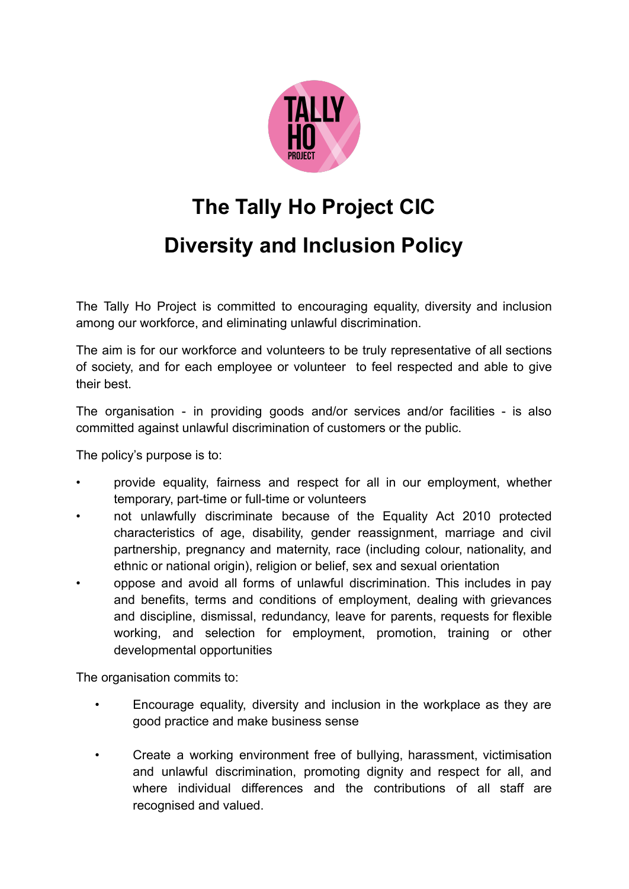

## **The Tally Ho Project CIC Diversity and Inclusion Policy**

The Tally Ho Project is committed to encouraging equality, diversity and inclusion among our workforce, and eliminating unlawful discrimination.

The aim is for our workforce and volunteers to be truly representative of all sections of society, and for each employee or volunteer to feel respected and able to give their best.

The organisation - in providing goods and/or services and/or facilities - is also committed against unlawful discrimination of customers or the public.

The policy's purpose is to:

- provide equality, fairness and respect for all in our employment, whether temporary, part-time or full-time or volunteers
- not unlawfully discriminate because of the Equality Act 2010 protected characteristics of age, disability, gender reassignment, marriage and civil partnership, pregnancy and maternity, race (including colour, nationality, and ethnic or national origin), religion or belief, sex and sexual orientation
- oppose and avoid all forms of unlawful discrimination. This includes in pay and benefits, terms and conditions of employment, dealing with grievances and discipline, dismissal, redundancy, leave for parents, requests for flexible working, and selection for employment, promotion, training or other developmental opportunities

The organisation commits to:

- Encourage equality, diversity and inclusion in the workplace as they are good practice and make business sense
- Create a working environment free of bullying, harassment, victimisation and unlawful discrimination, promoting dignity and respect for all, and where individual differences and the contributions of all staff are recognised and valued.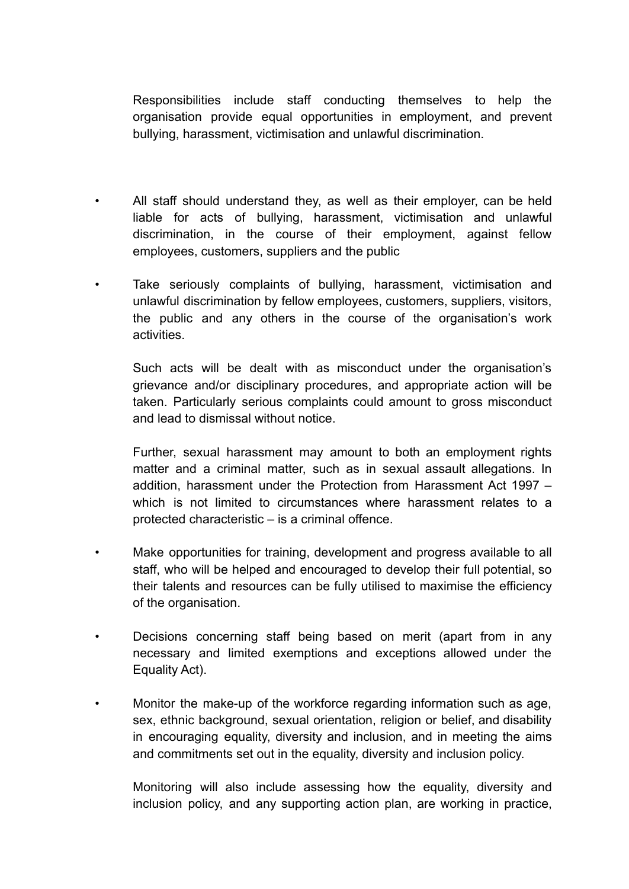Responsibilities include staff conducting themselves to help the organisation provide equal opportunities in employment, and prevent bullying, harassment, victimisation and unlawful discrimination.

- All staff should understand they, as well as their employer, can be held liable for acts of bullying, harassment, victimisation and unlawful discrimination, in the course of their employment, against fellow employees, customers, suppliers and the public
- Take seriously complaints of bullying, harassment, victimisation and unlawful discrimination by fellow employees, customers, suppliers, visitors, the public and any others in the course of the organisation's work activities.

Such acts will be dealt with as misconduct under the organisation's grievance and/or disciplinary procedures, and appropriate action will be taken. Particularly serious complaints could amount to gross misconduct and lead to dismissal without notice.

Further, sexual harassment may amount to both an employment rights matter and a criminal matter, such as in sexual assault allegations. In addition, harassment under the Protection from Harassment Act 1997 – which is not limited to circumstances where harassment relates to a protected characteristic – is a criminal offence.

- Make opportunities for training, development and progress available to all staff, who will be helped and encouraged to develop their full potential, so their talents and resources can be fully utilised to maximise the efficiency of the organisation.
- Decisions concerning staff being based on merit (apart from in any necessary and limited exemptions and exceptions allowed under the Equality Act).
- Monitor the make-up of the workforce regarding information such as age, sex, ethnic background, sexual orientation, religion or belief, and disability in encouraging equality, diversity and inclusion, and in meeting the aims and commitments set out in the equality, diversity and inclusion policy.

Monitoring will also include assessing how the equality, diversity and inclusion policy, and any supporting action plan, are working in practice,